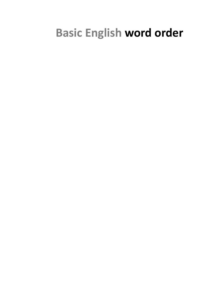# **Basic English word order**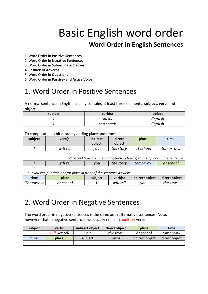# Basic English word order **Word Order in English Sentences**

- 1. Word Order in **Positive Sentences**
- 2. Word Order in **Negative Sentences**
- 3. Word Order in **Subordinate Clauses**
- 4. Position of **Adverbs**
- 5. Word Order in **Questions**
- 6. Word Order in **Passive- and Active Voice**

# 1. Word Order in Positive Sentences

| A normal sentence in English usually contains at least three elements: subject, verb, and<br>object. |           |           |           |                 |               |
|------------------------------------------------------------------------------------------------------|-----------|-----------|-----------|-----------------|---------------|
| subject                                                                                              |           | verb(s)   |           |                 | object        |
|                                                                                                      |           | speak     |           |                 | English       |
|                                                                                                      |           | can speak |           |                 | English       |
| To complicate it a bit more by adding place and time:                                                |           |           |           |                 |               |
| subject                                                                                              | verb(s)   | indirect  | direct    | place           | time          |
|                                                                                                      |           | object    | object    |                 |               |
|                                                                                                      | will tell | you       | the story | at school       | tomorrow.     |
| place and time are interchangeable referring to their place in the sentence                          |           |           |           |                 |               |
|                                                                                                      | will tell | you       | the story | tomorrow        | at school     |
| but you can put time and/or place in front of the sentence as well:                                  |           |           |           |                 |               |
| time                                                                                                 | place     | subject   | verb(s)   | indirect object | direct object |
| Tomorrow                                                                                             | at school |           | will tell | you             | the story     |

## 2. Word Order in Negative Sentences

The word order in negative sentences is the same as in affirmative sentences. Note, however, that in negative sentences we usually need an auxiliary verb:

| subject | verbs         | indirect object | direct object | place           | time          |
|---------|---------------|-----------------|---------------|-----------------|---------------|
|         | will not tell | vou             | the story     | at school       | tomorrow.     |
| time    | place         | subject         | verbs         | indirect object | direct object |
|         |               |                 |               |                 |               |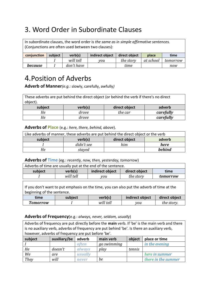# 3. Word Order in Subordinate Clauses

In subordinate clauses, the word order is *the same as in simple affirmative sentences.* (Conjunctions are often used between two clauses):

| conjunction | subject | verb(s)    | indirect object | direct object | place     | time     |
|-------------|---------|------------|-----------------|---------------|-----------|----------|
|             |         | will tell  | vou             | the story     | at school | tomorrow |
| because     |         | don't have |                 | time          |           | now      |

### 4.Position of Adverbs

**Adverb of Manner***(e.g.:* slowly, carefully, awfully*)*

| These adverbs are put behind the direct object (or behind the verb if there's no direct |         |               |           |  |
|-----------------------------------------------------------------------------------------|---------|---------------|-----------|--|
| object).                                                                                |         |               |           |  |
| subject                                                                                 | verb(s) | direct object | adverb    |  |
| He                                                                                      | drove   | the car       | carefully |  |
| He                                                                                      | drove   |               | carefully |  |

### **Adverbs of Place** (e.g.: *here, there, behind, above*).

| Like adverbs of manner, these adverbs are put behind the direct object or the verb |            |               |               |  |
|------------------------------------------------------------------------------------|------------|---------------|---------------|--|
| subject                                                                            | verb(s)    | direct object | adverb        |  |
|                                                                                    | didn't see | him           | here          |  |
| He                                                                                 | stayed     |               | <b>behind</b> |  |

#### **Adverbs of Time** (eg.: *recently, now, then, yesterday, tomorrow*)

| Adverbs of time are usually put at the end of the sentence. |           |                 |               |          |
|-------------------------------------------------------------|-----------|-----------------|---------------|----------|
| subject                                                     | verb(s)   | indirect object | direct object | time     |
|                                                             | will tell | vou             | the story     | tomorrow |

If you don't want to put emphasis on the time, you can also put the adverb of time at the beginning of the sentence.

| time            | subject | verb(s)   | indirect object | direct object |
|-----------------|---------|-----------|-----------------|---------------|
| <b>Tomorrow</b> |         | will tell | vou             | the story.    |

### **Adverbs of Frequency**(e.g.: *always, never, seldom, usually*)

Adverbs of frequency are put directly before the **main** verb. If 'be' is the main verb and there is no auxiliary verb, adverbs of frequency are put behind 'be'. Is there an auxiliary verb, however, adverbs of frequency are put before 'be'.

| subject | auxiliary/be | adverb  | main verb   | object | place or time       |
|---------|--------------|---------|-------------|--------|---------------------|
|         |              | often   | go swimming |        | in the evening      |
| He      | doesn't      | always  | play        | tennis |                     |
| We      | are          | usually |             |        | here in summer      |
| They    | will         | never   | be          |        | there in the summer |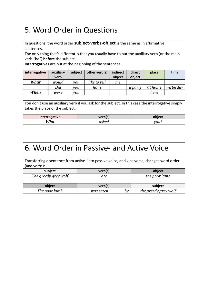# 5. Word Order in Questions

In questions, the word order **subject-verbs-object** is the same as in affirmative sentences.

The only thing that's different is that you usually have to put the auxiliary verb (or the main verb "be") **before** the subject.

**Interrogatives** are put at the beginning of the sentences:

| interrogative | auxiliary | subject | other verb(s) | indirect | direct         | place   | time      |
|---------------|-----------|---------|---------------|----------|----------------|---------|-----------|
|               | verb      |         |               | object   | object         |         |           |
| What          | would     | vou     | like to tell  | mе       |                |         |           |
|               | Did       | vou     | have          |          | <i>a party</i> | at home | yesterday |
| When          | were      | vou     |               |          |                | here    |           |

You don't use an auxiliary verb if you ask for the subject. In this case the interrogative simply takes the place of the subject.

| interrogative | verb(s) | hiec. |
|---------------|---------|-------|
| Who           |         | 70U.  |

| 6. Word Order in Passive- and Active Voice                                                                  |           |    |                      |  |  |
|-------------------------------------------------------------------------------------------------------------|-----------|----|----------------------|--|--|
| Transferring a sentence from active- into passive voice, and vice versa, changes word order<br>(and verbs): |           |    |                      |  |  |
| subject                                                                                                     | verb(s)   |    | object               |  |  |
| The greedy grey wolf                                                                                        | ate       |    | the poor lamb        |  |  |
| object                                                                                                      | verb(s)   |    | subject              |  |  |
| The poor lamb                                                                                               | was eaten | by | the greedy grey wolf |  |  |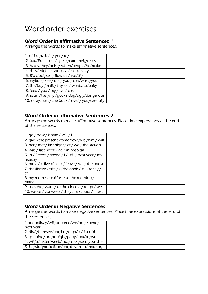# Word order exercises

### Word Order in affirmative Sentences 1

Arrange the words to make affirmative sentences.

| 1.to/like/talk / I / you/ to/                  |  |
|------------------------------------------------|--|
| 2. bad/French / I / speak/extremely/really     |  |
| 3. hates/they/noise/ when/people/he/make       |  |
| 4. they/ night / song / $a$ / sing/every       |  |
| 5. 8'o clock/sell / flowers / we/till/         |  |
| 6.anytime/see/me/you/can/want/you              |  |
| 7. the/buy / milk / he/for / wants/to/baby     |  |
| 8. feed / you / my / cat / can                 |  |
| 9. sister /has /my /got /a dog/ugly/dangerous  |  |
| 10. now/must / the book / read / you/carefully |  |

### Word Order in affirmative Sentences 2

Arrange the words to make affirmative sentences. Place time expressions at the end of the sentences.

| 1. go / now / home / will / I                     |  |
|---------------------------------------------------|--|
| 2. give /the present /tomorrow /we /him / will    |  |
| 3. her / met / last night / at / we / the station |  |
| 4. was / last week / he / in hospital             |  |
| 5. in /Greece / spend / I / will / next year / my |  |
| holiday                                           |  |
| 6. must /at five o'clock / leave / we / the house |  |
| 7. the library /take / I /the book /will /today / |  |
| to                                                |  |
| 8. my mum / breakfast / in the morning /          |  |
| made                                              |  |
| 9. tonight / want / to the cinema / to go / we    |  |
| 10. wrote / last week / they / at school / a test |  |

### Word Order in Negative Sentences

Arrange the words to make negative sentences. Place time expressions at the end of the sentences.

| 1.our holiday/will/at home/we/not/ spend/      |  |
|------------------------------------------------|--|
| next year                                      |  |
| 2. did/l/him/see/not/last/nigh/at/disco/the    |  |
| 3. a/ going/ are/tonight/party/ not/to/we      |  |
| 4. will/a/ letter/week/ not/ next/sen/ you/she |  |
| 5.the/did/you/tell/he/not/this/truth/morning   |  |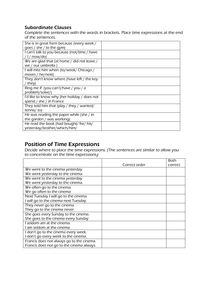### Subordinate Clauses

Complete the sentences with the words in brackets. Place time expressions at the end of the sentences.

| She is in great form because (every week /   |  |
|----------------------------------------------|--|
| goes / she / to the gym)                     |  |
| I can't talk to you because (not/time / have |  |
| $/$ I / now/do)                              |  |
| We are glad that (at home / did not leave /  |  |
| we / our umbrella )                          |  |
| I will miss him when (to/week/ Chicago /     |  |
| moves / he/next)                             |  |
| They don't know where (have left / the key   |  |
| ' they)                                      |  |
| Ring me if (you can't/have / you / a         |  |
| problem/solve/)                              |  |
| I'd like to know why (her holiday / does not |  |
| spend / she / in France                      |  |
| They told him that (play / they / wanted/    |  |
| tennis/ to)                                  |  |
| He was reading the paper while (she / in     |  |
| the garden / was working)                    |  |
| He read the book (had bought/ for/ his/      |  |
| yesterday/brother/which/him/                 |  |

### Position of Time Expressions

Decide where to place the time expressions. (The sentences are similar to allow you to concentrate on the time expressions)

|                                           |               | <b>Both</b> |
|-------------------------------------------|---------------|-------------|
|                                           | Correct order | correct.    |
| We went to the cinema yesterday.          |               |             |
| We went yesterday to the cinema.          |               |             |
| We went to the cinema yesterday.          |               |             |
| We went yesterday to the cinema.          |               |             |
| We often go to the cinema.                |               |             |
| We go often to the cinema                 |               |             |
| Next Tuesday I will go to the cinema.     |               |             |
| I will go to the cinema next Tuesday.     |               |             |
| They never go to the cinema.              |               |             |
| They go to the cinema never.              |               |             |
| She goes every Sunday to the cinema.      |               |             |
| She goes to the cinema every Sunday       |               |             |
| I seldom am at the cinema.                |               |             |
| I am seldom at the cinema.                |               |             |
| I don't go to the cinema every week.      |               |             |
| I don't go every week to the cinema.      |               |             |
| Francis does not always go to the cinema. |               |             |
| Francis does not go to the cinema always. |               |             |